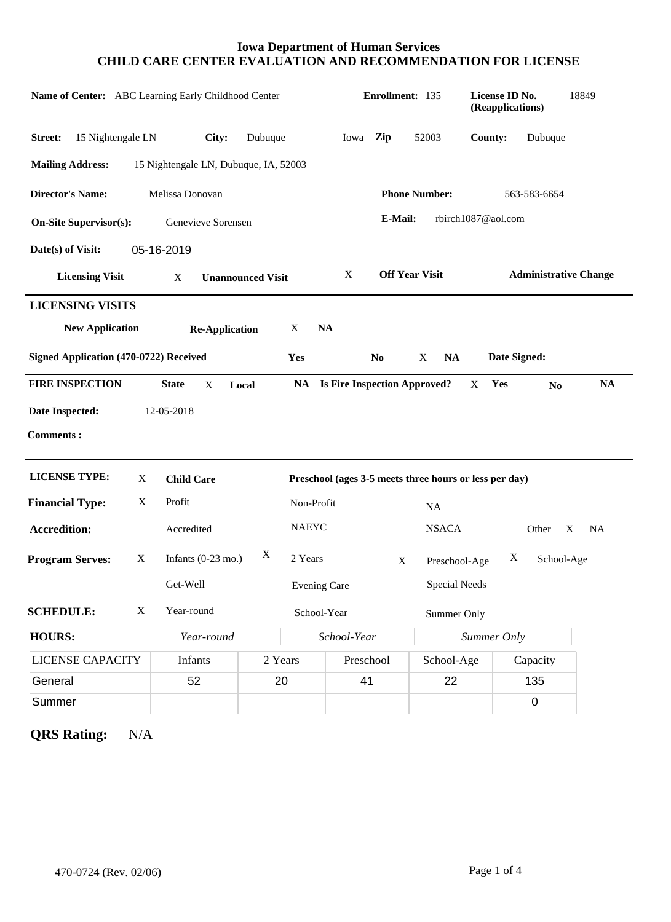### **Iowa Department of Human Services CHILD CARE CENTER EVALUATION AND RECOMMENDATION FOR LICENSE**

| Name of Center: ABC Learning Early Childhood Center                                  | Enrollment: 135               |                                       |         | License ID No.<br>(Reapplications) |                                        | 18849                                                      |                                                        |                    |                |                |
|--------------------------------------------------------------------------------------|-------------------------------|---------------------------------------|---------|------------------------------------|----------------------------------------|------------------------------------------------------------|--------------------------------------------------------|--------------------|----------------|----------------|
| 15 Nightengale LN<br>Street:                                                         |                               | City:<br>Dubuque                      |         |                                    | Iowa                                   | Zip                                                        | 52003                                                  | County:            | Dubuque        |                |
| <b>Mailing Address:</b>                                                              |                               | 15 Nightengale LN, Dubuque, IA, 52003 |         |                                    |                                        |                                                            |                                                        |                    |                |                |
| <b>Director's Name:</b><br>Melissa Donovan                                           |                               |                                       |         |                                    | <b>Phone Number:</b><br>563-583-6654   |                                                            |                                                        |                    |                |                |
| E-Mail:<br>rbirch1087@aol.com<br><b>On-Site Supervisor(s):</b><br>Genevieve Sorensen |                               |                                       |         |                                    |                                        |                                                            |                                                        |                    |                |                |
| Date(s) of Visit:                                                                    |                               | 05-16-2019                            |         |                                    |                                        |                                                            |                                                        |                    |                |                |
| <b>Licensing Visit</b>                                                               | X<br><b>Unannounced Visit</b> |                                       |         |                                    |                                        | <b>Off Year Visit</b><br><b>Administrative Change</b><br>X |                                                        |                    |                |                |
| <b>LICENSING VISITS</b>                                                              |                               |                                       |         |                                    |                                        |                                                            |                                                        |                    |                |                |
| <b>New Application</b>                                                               |                               | <b>Re-Application</b>                 |         | X                                  | <b>NA</b>                              |                                                            |                                                        |                    |                |                |
| Signed Application (470-0722) Received                                               |                               |                                       |         | Yes                                |                                        | N <sub>0</sub>                                             | <b>NA</b><br>X                                         | Date Signed:       |                |                |
| <b>FIRE INSPECTION</b>                                                               |                               | <b>State</b><br>X                     | Local   |                                    | <b>NA</b> Is Fire Inspection Approved? |                                                            |                                                        | Yes<br>X           | N <sub>0</sub> | <b>NA</b>      |
| Date Inspected:                                                                      |                               | 12-05-2018                            |         |                                    |                                        |                                                            |                                                        |                    |                |                |
| <b>Comments:</b>                                                                     |                               |                                       |         |                                    |                                        |                                                            |                                                        |                    |                |                |
| <b>LICENSE TYPE:</b>                                                                 | X                             | <b>Child Care</b>                     |         |                                    |                                        |                                                            | Preschool (ages 3-5 meets three hours or less per day) |                    |                |                |
| <b>Financial Type:</b>                                                               | X                             | Profit                                |         |                                    | Non-Profit<br><b>NA</b>                |                                                            |                                                        |                    |                |                |
| <b>Accredition:</b>                                                                  |                               | Accredited                            |         | <b>NAEYC</b>                       |                                        |                                                            | <b>NSACA</b>                                           |                    | Other          | X<br><b>NA</b> |
| <b>Program Serves:</b>                                                               | X                             | Infants $(0-23 \text{ mo.})$          | X       | 2 Years                            |                                        | $\mathbf X$                                                | Preschool-Age                                          | X                  | School-Age     |                |
|                                                                                      |                               | Get-Well                              |         | <b>Evening Care</b>                |                                        |                                                            | Special Needs                                          |                    |                |                |
| <b>SCHEDULE:</b>                                                                     | X                             | Year-round                            |         | School-Year                        |                                        | Summer Only                                                |                                                        |                    |                |                |
| <b>HOURS:</b>                                                                        |                               | Year-round                            |         |                                    | School-Year                            |                                                            |                                                        | <b>Summer Only</b> |                |                |
| <b>LICENSE CAPACITY</b>                                                              |                               | <b>Infants</b>                        | 2 Years |                                    | Preschool                              |                                                            | School-Age                                             |                    | Capacity       |                |
| General                                                                              |                               | 52                                    | 20      |                                    | 41                                     |                                                            | 22                                                     |                    | 135            |                |
| Summer                                                                               |                               |                                       |         |                                    |                                        |                                                            |                                                        |                    | $\mathbf 0$    |                |

**QRS Rating:** N/A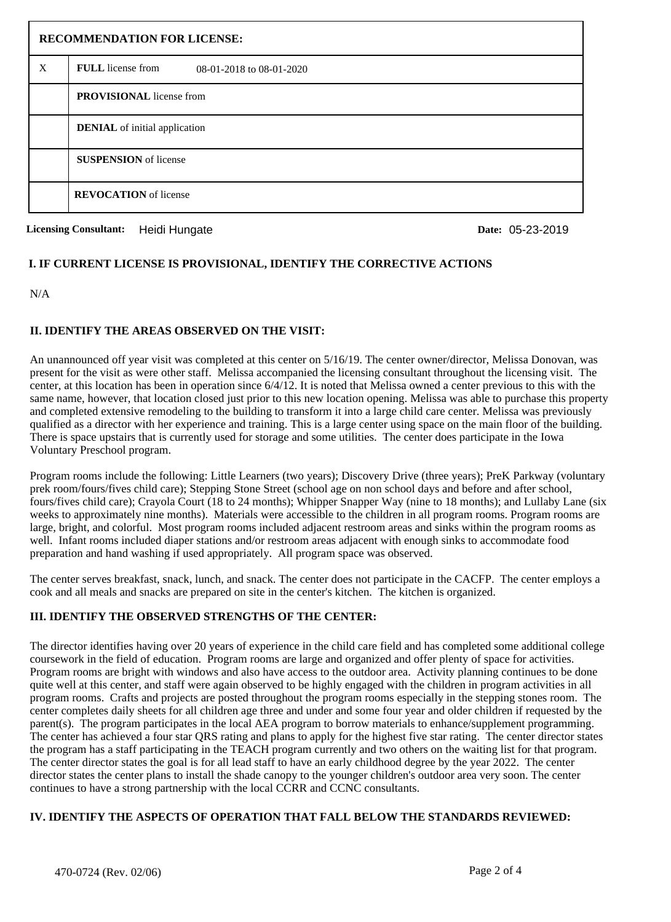| <b>RECOMMENDATION FOR LICENSE:</b> |                                               |  |  |  |  |  |
|------------------------------------|-----------------------------------------------|--|--|--|--|--|
| X                                  | FULL license from<br>08-01-2018 to 08-01-2020 |  |  |  |  |  |
|                                    | <b>PROVISIONAL</b> license from               |  |  |  |  |  |
|                                    | <b>DENIAL</b> of initial application          |  |  |  |  |  |
|                                    | <b>SUSPENSION</b> of license                  |  |  |  |  |  |
|                                    | <b>REVOCATION</b> of license                  |  |  |  |  |  |

**Licensing Consultant:** Heidi Hungate

Date: 05-23-2019

## **I. IF CURRENT LICENSE IS PROVISIONAL, IDENTIFY THE CORRECTIVE ACTIONS**

N/A

## **II. IDENTIFY THE AREAS OBSERVED ON THE VISIT:**

An unannounced off year visit was completed at this center on 5/16/19. The center owner/director, Melissa Donovan, was present for the visit as were other staff. Melissa accompanied the licensing consultant throughout the licensing visit. The center, at this location has been in operation since 6/4/12. It is noted that Melissa owned a center previous to this with the same name, however, that location closed just prior to this new location opening. Melissa was able to purchase this property and completed extensive remodeling to the building to transform it into a large child care center. Melissa was previously qualified as a director with her experience and training. This is a large center using space on the main floor of the building. There is space upstairs that is currently used for storage and some utilities. The center does participate in the Iowa Voluntary Preschool program.

Program rooms include the following: Little Learners (two years); Discovery Drive (three years); PreK Parkway (voluntary prek room/fours/fives child care); Stepping Stone Street (school age on non school days and before and after school, fours/fives child care); Crayola Court (18 to 24 months); Whipper Snapper Way (nine to 18 months); and Lullaby Lane (six weeks to approximately nine months). Materials were accessible to the children in all program rooms. Program rooms are large, bright, and colorful. Most program rooms included adjacent restroom areas and sinks within the program rooms as well. Infant rooms included diaper stations and/or restroom areas adjacent with enough sinks to accommodate food preparation and hand washing if used appropriately. All program space was observed.

The center serves breakfast, snack, lunch, and snack. The center does not participate in the CACFP. The center employs a cook and all meals and snacks are prepared on site in the center's kitchen. The kitchen is organized.

# **III. IDENTIFY THE OBSERVED STRENGTHS OF THE CENTER:**

The director identifies having over 20 years of experience in the child care field and has completed some additional college coursework in the field of education. Program rooms are large and organized and offer plenty of space for activities. Program rooms are bright with windows and also have access to the outdoor area. Activity planning continues to be done quite well at this center, and staff were again observed to be highly engaged with the children in program activities in all program rooms. Crafts and projects are posted throughout the program rooms especially in the stepping stones room. The center completes daily sheets for all children age three and under and some four year and older children if requested by the parent(s). The program participates in the local AEA program to borrow materials to enhance/supplement programming. The center has achieved a four star QRS rating and plans to apply for the highest five star rating. The center director states the program has a staff participating in the TEACH program currently and two others on the waiting list for that program. The center director states the goal is for all lead staff to have an early childhood degree by the year 2022. The center director states the center plans to install the shade canopy to the younger children's outdoor area very soon. The center continues to have a strong partnership with the local CCRR and CCNC consultants.

## **IV. IDENTIFY THE ASPECTS OF OPERATION THAT FALL BELOW THE STANDARDS REVIEWED:**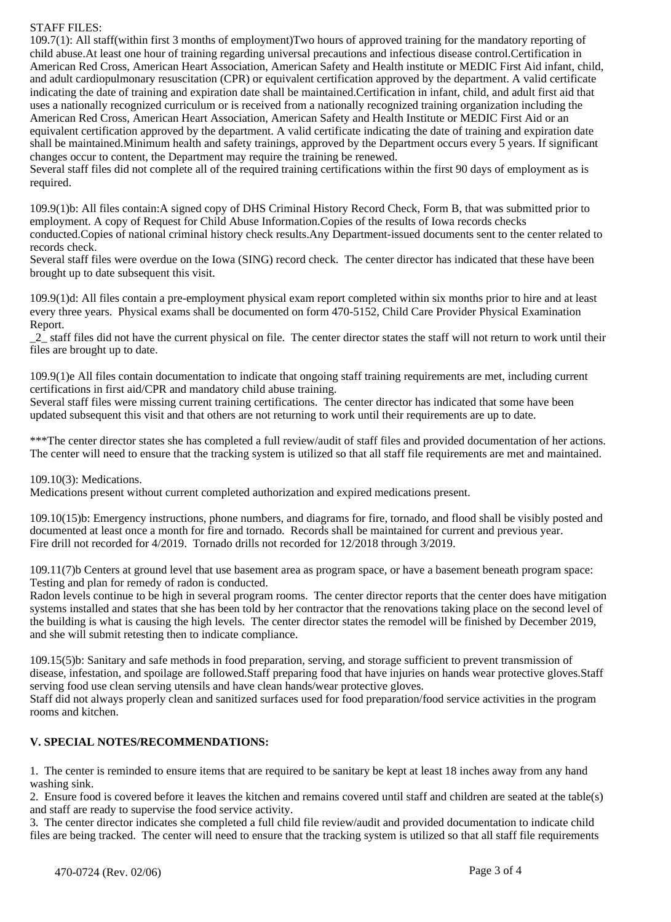#### STAFF FILES:

109.7(1): All staff(within first 3 months of employment)Two hours of approved training for the mandatory reporting of child abuse.At least one hour of training regarding universal precautions and infectious disease control.Certification in American Red Cross, American Heart Association, American Safety and Health institute or MEDIC First Aid infant, child, and adult cardiopulmonary resuscitation (CPR) or equivalent certification approved by the department. A valid certificate indicating the date of training and expiration date shall be maintained.Certification in infant, child, and adult first aid that uses a nationally recognized curriculum or is received from a nationally recognized training organization including the American Red Cross, American Heart Association, American Safety and Health Institute or MEDIC First Aid or an equivalent certification approved by the department. A valid certificate indicating the date of training and expiration date shall be maintained.Minimum health and safety trainings, approved by the Department occurs every 5 years. If significant changes occur to content, the Department may require the training be renewed.

Several staff files did not complete all of the required training certifications within the first 90 days of employment as is required.

109.9(1)b: All files contain:A signed copy of DHS Criminal History Record Check, Form B, that was submitted prior to employment. A copy of Request for Child Abuse Information.Copies of the results of Iowa records checks conducted.Copies of national criminal history check results.Any Department-issued documents sent to the center related to records check.

Several staff files were overdue on the Iowa (SING) record check. The center director has indicated that these have been brought up to date subsequent this visit.

109.9(1)d: All files contain a pre-employment physical exam report completed within six months prior to hire and at least every three years. Physical exams shall be documented on form 470-5152, Child Care Provider Physical Examination Report.

\_2\_ staff files did not have the current physical on file. The center director states the staff will not return to work until their files are brought up to date.

109.9(1)e All files contain documentation to indicate that ongoing staff training requirements are met, including current certifications in first aid/CPR and mandatory child abuse training.

Several staff files were missing current training certifications. The center director has indicated that some have been updated subsequent this visit and that others are not returning to work until their requirements are up to date.

\*\*\*The center director states she has completed a full review/audit of staff files and provided documentation of her actions. The center will need to ensure that the tracking system is utilized so that all staff file requirements are met and maintained.

109.10(3): Medications.

Medications present without current completed authorization and expired medications present.

109.10(15)b: Emergency instructions, phone numbers, and diagrams for fire, tornado, and flood shall be visibly posted and documented at least once a month for fire and tornado. Records shall be maintained for current and previous year. Fire drill not recorded for 4/2019. Tornado drills not recorded for 12/2018 through 3/2019.

109.11(7)b Centers at ground level that use basement area as program space, or have a basement beneath program space: Testing and plan for remedy of radon is conducted.

Radon levels continue to be high in several program rooms. The center director reports that the center does have mitigation systems installed and states that she has been told by her contractor that the renovations taking place on the second level of the building is what is causing the high levels. The center director states the remodel will be finished by December 2019, and she will submit retesting then to indicate compliance.

109.15(5)b: Sanitary and safe methods in food preparation, serving, and storage sufficient to prevent transmission of disease, infestation, and spoilage are followed.Staff preparing food that have injuries on hands wear protective gloves.Staff serving food use clean serving utensils and have clean hands/wear protective gloves.

Staff did not always properly clean and sanitized surfaces used for food preparation/food service activities in the program rooms and kitchen.

## **V. SPECIAL NOTES/RECOMMENDATIONS:**

1. The center is reminded to ensure items that are required to be sanitary be kept at least 18 inches away from any hand washing sink.

2. Ensure food is covered before it leaves the kitchen and remains covered until staff and children are seated at the table(s) and staff are ready to supervise the food service activity.

3. The center director indicates she completed a full child file review/audit and provided documentation to indicate child files are being tracked. The center will need to ensure that the tracking system is utilized so that all staff file requirements